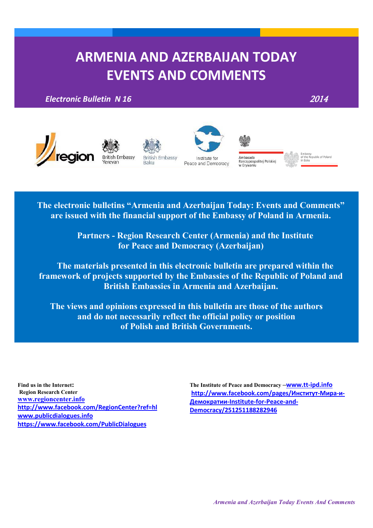# **ARMENIA AND AZERBAIJAN TODAY EVENTS AND COMMENTS**

*Electronic Bulletin N 16* 2014







**British Embassy** Baku

Institute for Peace and Democracy



Ambasaua<br>Rzeczypospolitej Polskiej<br>w Erywaniu

Embassy<br>of the Republic of Poland<br>in Baku

**The electronic bulletins "Armenia and Azerbaijan Today: Events and Comments" are issued with the financial support of the Embassy of Poland in Armenia.** 

> **Partners - Region Research Center (Armenia) and the Institute for Peace and Democracy (Azerbaijan)**

**The materials presented in this electronic bulletin are prepared within the framework of projects supported by the Embassies of the Republic of Poland and British Embassies in Armenia and Azerbaijan.**

**The views and opinions expressed in this bulletin are those of the authors and do not necessarily reflect the official policy or position of Polish and British Governments.**

**Find us in the Internet: Region Research Center [www.regioncenter.info](http://www.regioncenter.info/) <http://www.facebook.com/RegionCenter?ref=hl> [www.publicdialogues.info](http://www.publicdialogues.info/) <https://www.facebook.com/PublicDialogues>**

**The Institute of Peace and Democracy –[www.tt-ipd.info](http://www.tt-ipd.info/)** <u> $http://www.facebook.com/pages/ИнctMTy$  $http://www.facebook.com/pages/ИнctMTy$ т-Мира-и-</u> Демократии[-Institute-for-Peace-and-](http://www.facebook.com/pages/%D0%98%D0%BD%D1%81%D1%82%D0%B8%D1%82%D1%83%D1%82-%D0%9C%D0%B8%D1%80%D0%B0-%D0%B8-%D0%94%D0%B5%D0%BC%D0%BE%D0%BA%D1%80%D0%B0%D1%82%D0%B8%D0%B8-Institute-for-Peace-and-Democracy/251251188282946)**[Democracy/251251188282946](http://www.facebook.com/pages/%D0%98%D0%BD%D1%81%D1%82%D0%B8%D1%82%D1%83%D1%82-%D0%9C%D0%B8%D1%80%D0%B0-%D0%B8-%D0%94%D0%B5%D0%BC%D0%BE%D0%BA%D1%80%D0%B0%D1%82%D0%B8%D0%B8-Institute-for-Peace-and-Democracy/251251188282946)**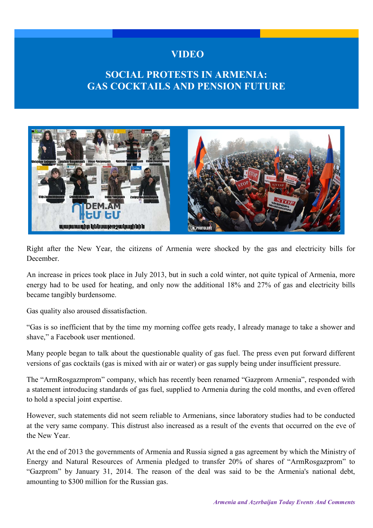#### **VIDEO**

## **SOCIAL PROTESTS IN ARMENIA: GAS COCKTAILS AND PENSION FUTURE**



Right after the New Year, the citizens of Armenia were shocked by the gas and electricity bills for December.

An increase in prices took place in July 2013, but in such a cold winter, not quite typical of Armenia, more energy had to be used for heating, and only now the additional 18% and 27% of gas and electricity bills became tangibly burdensome.

Gas quality also aroused dissatisfaction.

"Gas is so inefficient that by the time my morning coffee gets ready, I already manage to take a shower and shave," a Facebook user mentioned.

Many people began to talk about the questionable quality of gas fuel. The press even put forward different versions of gas cocktails (gas is mixed with air or water) or gas supply being under insufficient pressure.

The "ArmRosgazmprom" company, which has recently been renamed "Gazprom Armenia", responded with a statement introducing standards of gas fuel, supplied to Armenia during the cold months, and even offered to hold a special joint expertise.

However, such statements did not seem reliable to Armenians, since laboratory studies had to be conducted at the very same company. This distrust also increased as a result of the events that occurred on the eve of the New Year.

At the end of 2013 the governments of Armenia and Russia signed a gas agreement by which the Ministry of Energy and Natural Resources of Armenia pledged to transfer 20% of shares of "ArmRosgazprom" to "Gazprom" by January 31, 2014. The reason of the deal was said to be the Armenia's national debt, amounting to \$300 million for the Russian gas.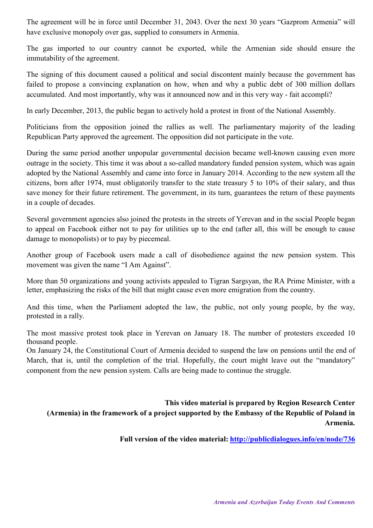The agreement will be in force until December 31, 2043. Over the next 30 years "Gazprom Armenia" will have exclusive monopoly over gas, supplied to consumers in Armenia.

The gas imported to our country cannot be exported, while the Armenian side should ensure the immutability of the agreement.

The signing of this document caused a political and social discontent mainly because the government has failed to propose a convincing explanation on how, when and why a public debt of 300 million dollars accumulated. And most importantly, why was it announced now and in this very way - fait accompli?

In early December, 2013, the public began to actively hold a protest in front of the National Assembly.

Politicians from the opposition joined the rallies as well. The parliamentary majority of the leading Republican Party approved the agreement. The opposition did not participate in the vote.

During the same period another unpopular governmental decision became well-known causing even more outrage in the society. This time it was about a so-called mandatory funded pension system, which was again adopted by the National Assembly and came into force in January 2014. According to the new system all the citizens, born after 1974, must obligatorily transfer to the state treasury 5 to 10% of their salary, and thus save money for their future retirement. The government, in its turn, guarantees the return of these payments in a couple of decades.

Several government agencies also joined the protests in the streets of Yerevan and in the social People began to appeal on Facebook either not to pay for utilities up to the end (after all, this will be enough to cause damage to monopolists) or to pay by piecemeal.

Another group of Facebook users made a call of disobedience against the new pension system. This movement was given the name "I Am Against".

More than 50 organizations and young activists appealed to Tigran Sargsyan, the RA Prime Minister, with a letter, emphasizing the risks of the bill that might cause even more emigration from the country.

And this time, when the Parliament adopted the law, the public, not only young people, by the way, protested in a rally.

The most massive protest took place in Yerevan on January 18. The number of protesters exceeded 10 thousand people.

On January 24, the Constitutional Court of Armenia decided to suspend the law on pensions until the end of March, that is, until the completion of the trial. Hopefully, the court might leave out the "mandatory" component from the new pension system. Calls are being made to continue the struggle.

**This video material is prepared by Region Research Center (Armenia) in the framework of a project supported by the Embassy of the Republic of Poland in Armenia.**

**Full version of the video material: <http://publicdialogues.info/en/node/736>**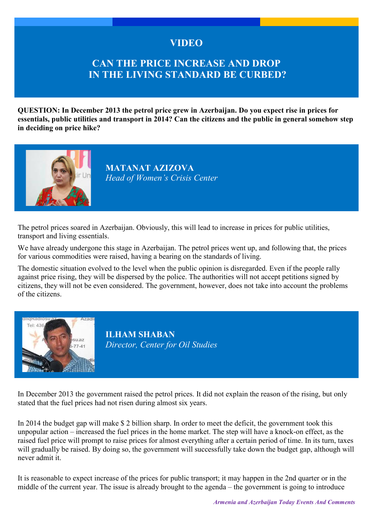### **VIDEO**

### **CAN THE PRICE INCREASE AND DROP IN THE LIVING STANDARD BE CURBED?**

**QUESTION: In December 2013 the petrol price grew in Azerbaijan. Do you expect rise in prices for essentials, public utilities and transport in 2014? Can the citizens and the public in general somehow step in deciding on price hike?** 



**MATANAT AZIZOVA** *Head of Women's Crisis Center*

The petrol prices soared in Azerbaijan. Obviously, this will lead to increase in prices for public utilities, transport and living essentials.

We have already undergone this stage in Azerbaijan. The petrol prices went up, and following that, the prices for various commodities were raised, having a bearing on the standards of living.

The domestic situation evolved to the level when the public opinion is disregarded. Even if the people rally against price rising, they will be dispersed by the police. The authorities will not accept petitions signed by citizens, they will not be even considered. The government, however, does not take into account the problems of the citizens.



**ILHAM SHABAN** *Director, Center for Oil Studies* 

In December 2013 the government raised the petrol prices. It did not explain the reason of the rising, but only stated that the fuel prices had not risen during almost six years.

In 2014 the budget gap will make \$ 2 billion sharp. In order to meet the deficit, the government took this unpopular action – increased the fuel prices in the home market. The step will have a knock-on effect, as the raised fuel price will prompt to raise prices for almost everything after a certain period of time. In its turn, taxes will gradually be raised. By doing so, the government will successfully take down the budget gap, although will never admit it.

It is reasonable to expect increase of the prices for public transport; it may happen in the 2nd quarter or in the middle of the current year. The issue is already brought to the agenda – the government is going to introduce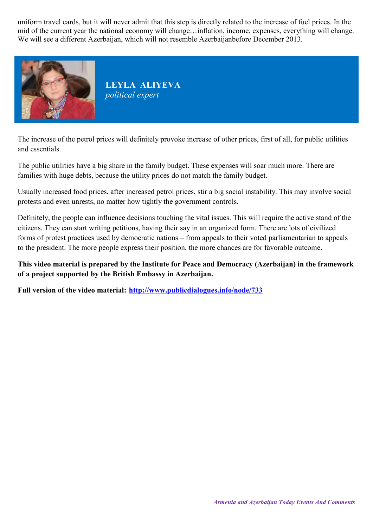uniform travel cards, but it will never admit that this step is directly related to the increase of fuel prices. In the mid of the current year the national economy will change…inflation, income, expenses, everything will change. We will see a different Azerbaijan, which will not resemble Azerbaijanbefore December 2013.



**LEYLA ALIYEVA** *political expert* 

The increase of the petrol prices will definitely provoke increase of other prices, first of all, for public utilities and essentials.

The public utilities have a big share in the family budget. These expenses will soar much more. There are families with huge debts, because the utility prices do not match the family budget.

Usually increased food prices, after increased petrol prices, stir a big social instability. This may involve social protests and even unrests, no matter how tightly the government controls.

Definitely, the people can influence decisions touching the vital issues. This will require the active stand of the citizens. They can start writing petitions, having their say in an organized form. There are lots of civilized forms of protest practices used by democratic nations – from appeals to their voted parliamentarian to appeals to the president. The more people express their position, the more chances are for favorable outcome.

**This video material is prepared by the Institute for Peace and Democracy (Azerbaijan) in the framework of a project supported by the British Embassy in Azerbaijan.**

**Full version of the video material: <http://www.publicdialogues.info/node/733>**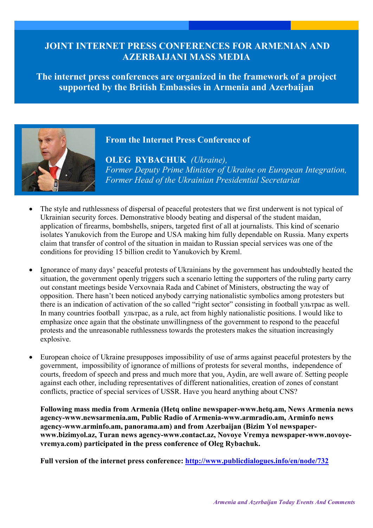### **JOINT INTERNET PRESS CONFERENCES FOR ARMENIAN AND AZERBAIJANI MASS MEDIA**

**The internet press conferences are organized in the framework of a project supported by the British Embassies in Armenia and Azerbaijan**



**From the Internet Press Conference of** 

**OLEG RYBACHUK** *(Ukraine), Former Deputy Prime Minister of Ukraine on European Integration, Former Head of the Ukrainian Presidential Secretariat*

- The style and ruthlessness of dispersal of peaceful protesters that we first underwent is not typical of Ukrainian security forces. Demonstrative bloody beating and dispersal of the student maidan, application of firearms, bombshells, snipers, targeted first of all at journalists. This kind of scenario isolates Yanukovich from the Europe and USA making him fully dependable on Russia. Many experts claim that transfer of control of the situation in maidan to Russian special services was one of the conditions for providing 15 billion credit to Yanukovich by Kreml.
- Ignorance of many days' peaceful protests of Ukrainians by the government has undoubtedly heated the situation, the government openly triggers such a scenario letting the supporters of the ruling party carry out constant meetings beside Verxovnaia Rada and Cabinet of Ministers, obstructing the way of opposition. There hasn't been noticed anybody carrying nationalistic symbolics among protesters but there is an indication of activation of the so called "right sector" consisting in football ультрас as well. In many countries football  $\gamma$ <sub>U</sub>ET pac, as a rule, act from highly nationalistic positions. I would like to emphasize once again that the obstinate unwillingness of the government to respond to the peaceful protests and the unreasonable ruthlessness towards the protesters makes the situation increasingly explosive.
- European choice of Ukraine presupposes impossibility of use of arms against peaceful protesters by the government, impossibility of ignorance of millions of protests for several months, independence of courts, freedom of speech and press and much more that you, Aydin, are well aware of. Setting people against each other, including representatives of different nationalities, creation of zones of constant conflicts, practice of special services of USSR. Have you heard anything about CNS?

**Following mass media from Armenia (Hetq online newspaper-www.hetq.am, News Armenia news agency-www.newsarmenia.am, Public Radio of Armenia-www.armradio.am, Arminfo news agency-www.arminfo.am, panorama.am) and from Azerbaijan (Bizim Yol newspaperwww.bizimyol.az, Turan news agency-www.contact.az, Novoye Vremya newspaper-www.novoyevremya.com) participated in the press conference of Oleg Rybachuk.**

**Full version of the internet press conference:<http://www.publicdialogues.info/en/node/732>**